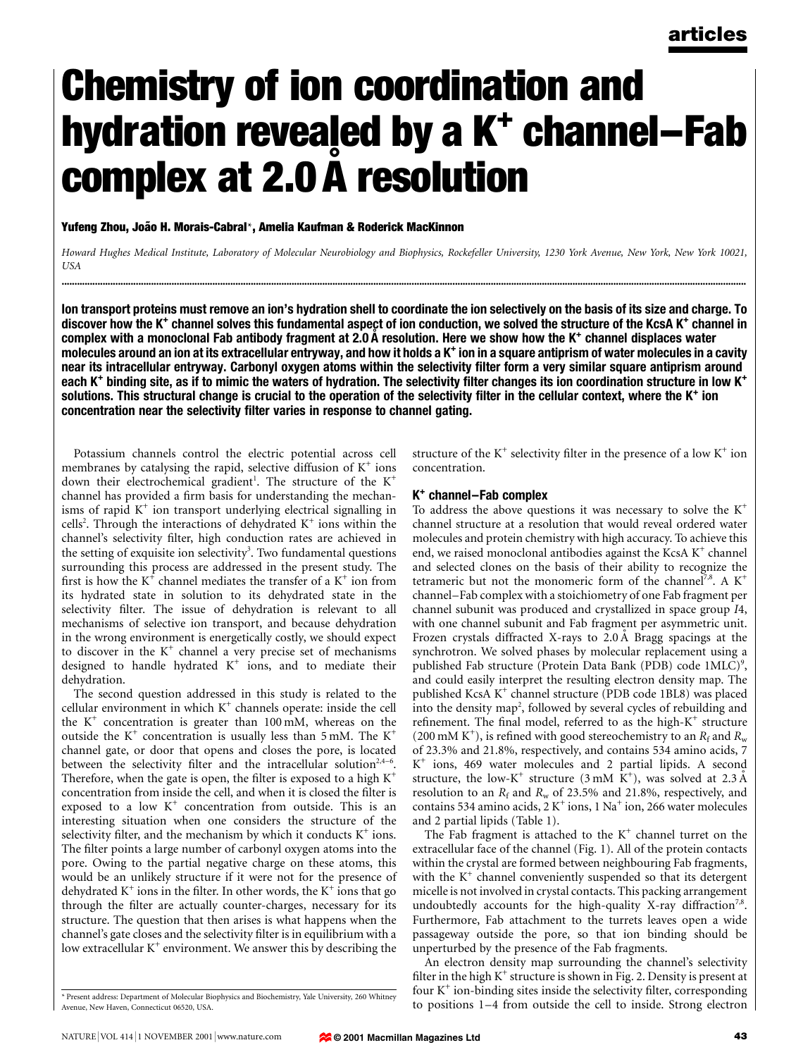# Chemistry of ion coordination and hydration revealed by a  $K^+$  channel–Fab complex at 2.0 Å resolution

Yufeng Zhou, João H. Morais-Cabral\*, Amelia Kaufman & Roderick MacKinnon

Howard Hughes Medical Institute, Laboratory of Molecular Neurobiology and Biophysics, Rockefeller University, 1230 York Avenue, New York, New York 10021, USA ............................................................................................................................................................................................................................................................................

Ion transport proteins must remove an ion's hydration shell to coordinate the ion selectively on the basis of its size and charge. To discover how the K<sup>+</sup> channel solves this fundamental aspect of ion conduction, we solved the structure of the KcsA K<sup>+</sup> channel in complex with a monoclonal Fab antibody fragment at 2.0 A resolution. Here we show how the K<sup>+</sup> channel displaces water molecules around an ion at its extracellular entryway, and how it holds a K<sup>+</sup> ion in a square antiprism of water molecules in a cavity near its intracellular entryway. Carbonyl oxygen atoms within the selectivity filter form a very similar square antiprism around each K<sup>+</sup> binding site, as if to mimic the waters of hydration. The selectivity filter changes its ion coordination structure in low K<sup>+</sup> solutions. This structural change is crucial to the operation of the selectivity filter in the cellular context, where the K<sup>+</sup> ion concentration near the selectivity filter varies in response to channel gating.

Potassium channels control the electric potential across cell membranes by catalysing the rapid, selective diffusion of  $K^+$  ions down their electrochemical gradient<sup>1</sup>. The structure of the K<sup>+</sup> channel has provided a firm basis for understanding the mechanisms of rapid  $K^+$  ion transport underlying electrical signalling in cells<sup>2</sup>. Through the interactions of dehydrated K<sup>+</sup> ions within the channel's selectivity filter, high conduction rates are achieved in the setting of exquisite ion selectivity<sup>3</sup>. Two fundamental questions surrounding this process are addressed in the present study. The first is how the  $K^+$  channel mediates the transfer of a  $K^+$  ion from its hydrated state in solution to its dehydrated state in the selectivity filter. The issue of dehydration is relevant to all mechanisms of selective ion transport, and because dehydration in the wrong environment is energetically costly, we should expect to discover in the  $K^+$  channel a very precise set of mechanisms designed to handle hydrated  $K^+$  ions, and to mediate their dehydration.

The second question addressed in this study is related to the cellular environment in which  $K^+$  channels operate: inside the cell the  $K^+$  concentration is greater than 100 mM, whereas on the outside the  $K^+$  concentration is usually less than 5 mM. The  $K^+$ channel gate, or door that opens and closes the pore, is located between the selectivity filter and the intracellular solution<sup>2,4-6</sup>. Therefore, when the gate is open, the filter is exposed to a high  $K^+$ concentration from inside the cell, and when it is closed the filter is exposed to a low  $K^+$  concentration from outside. This is an interesting situation when one considers the structure of the selectivity filter, and the mechanism by which it conducts  $K^+$  ions. The filter points a large number of carbonyl oxygen atoms into the pore. Owing to the partial negative charge on these atoms, this would be an unlikely structure if it were not for the presence of dehydrated  $K^+$  ions in the filter. In other words, the  $K^+$  ions that go through the filter are actually counter-charges, necessary for its structure. The question that then arises is what happens when the channel's gate closes and the selectivity filter is in equilibrium with a low extracellular  $K^+$  environment. We answer this by describing the structure of the  $K^+$  selectivity filter in the presence of a low  $K^+$  ion concentration.

### $K<sup>+</sup> channel–Fab complex$

To address the above questions it was necessary to solve the  $K^+$ channel structure at a resolution that would reveal ordered water molecules and protein chemistry with high accuracy. To achieve this end, we raised monoclonal antibodies against the KcsA  $K^+$  channel and selected clones on the basis of their ability to recognize the tetrameric but not the monomeric form of the channel<sup>7,8</sup>. A  $K^+$ channel-Fab complex with a stoichiometry of one Fab fragment per channel subunit was produced and crystallized in space group I4, with one channel subunit and Fab fragment per asymmetric unit. Frozen crystals diffracted X-rays to  $2.0 \text{ Å}$  Bragg spacings at the synchrotron. We solved phases by molecular replacement using a published Fab structure (Protein Data Bank (PDB) code 1MLC)<sup>9</sup>, and could easily interpret the resulting electron density map. The published KcsA K+ channel structure (PDB code 1BL8) was placed into the density map<sup>2</sup>, followed by several cycles of rebuilding and refinement. The final model, referred to as the high- $K^+$  structure (200 mM K<sup>+</sup>), is refined with good stereochemistry to an  $R_f$  and  $R_w$ of 23.3% and 21.8%, respectively, and contains 534 amino acids, 7  $K^+$  ions, 469 water molecules and 2 partial lipids. A second structure, the low-K<sup>+</sup> structure (3 mM  $K^+$ ), was solved at 2.3 Å resolution to an  $R_f$  and  $R_w$  of 23.5% and 21.8%, respectively, and contains 534 amino acids, 2  $K^+$  ions, 1 Na<sup>+</sup> ion, 266 water molecules and 2 partial lipids (Table 1).

The Fab fragment is attached to the  $K^+$  channel turret on the extracellular face of the channel (Fig. 1). All of the protein contacts within the crystal are formed between neighbouring Fab fragments, with the  $K^+$  channel conveniently suspended so that its detergent micelle is not involved in crystal contacts. This packing arrangement undoubtedly accounts for the high-quality X-ray diffraction<sup>7,8</sup>. Furthermore, Fab attachment to the turrets leaves open a wide passageway outside the pore, so that ion binding should be unperturbed by the presence of the Fab fragments.

An electron density map surrounding the channel's selectivity filter in the high  $K^+$  structure is shown in Fig. 2. Density is present at four  $K^+$  ion-binding sites inside the selectivity filter, corresponding \* Present address: Department of Molecular Biophysics and Biochemistry, Yale University, 260 Whitney<br>Avenue. New Haven. Connecticut 06520. USA. The Strong electron and Biochemistry, Yale University, 260 Whitney<br>to position

Avenue, New Haven, Connecticut 06520, USA.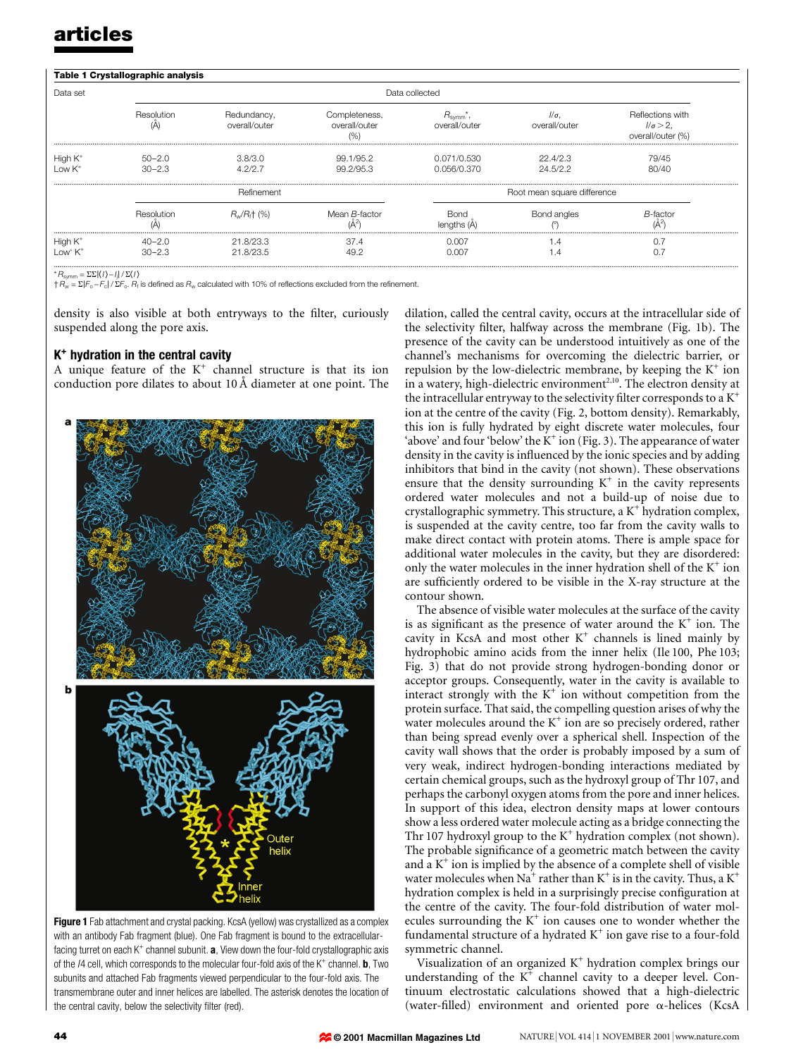| Data set                          | Data collected           |                              |                                     |                                      |                             |                                                           |
|-----------------------------------|--------------------------|------------------------------|-------------------------------------|--------------------------------------|-----------------------------|-----------------------------------------------------------|
|                                   | Resolution<br>(A         | Redundancy,<br>overall/outer | Completeness,<br>overall/outer<br>% | $R_{\text{symm}}^*$<br>overall/outer | $\sqrt{a}$<br>overall/outer | Reflections with<br>$1/\sigma > 2$ ,<br>overall/outer (%) |
| High $K^+$<br>Low $K^+$           | $50 - 2.0$<br>$30 - 2.3$ | 3.8/3.0<br>4.2/2.7           | 99.1/95.2<br>99.2/95.3              | 0.071/0.530<br>0.056/0.370           | 22.4/2.3<br>24.5/2.2        | 79/45<br>80/40                                            |
|                                   | Refinement               |                              |                                     | Root mean square difference          |                             |                                                           |
|                                   | Resolution<br>(A         | $R_w/R_t$ (%)                | Mean B-factor                       | <b>Bond</b><br>lenaths (A            | Bond angles                 | <b>B-factor</b>                                           |
| High $K^+$<br>Low' K <sup>+</sup> | 40-2.0<br>$30 - 2.3$     | 21.8/23.3<br>21.8/23.5       | 37.4<br>49.2                        | 0.007<br>0.007                       | 1.4<br>1.4                  |                                                           |

\*  $R_\text{symm}$  =  $\Sigma$ E $|$ (/) – /| $|$ / Σ $\ell$ /)<br>†  $R_\text{w}$  = Σ $|F_\text{o}$  – $F_\text{c}|$  / Σ $F_\text{o}$ .  $R_i$  is defined as  $R_\text{w}$  calculated with 10% of reflections excluded from the refinement.

density is also visible at both entryways to the filter, curiously suspended along the pore axis.

### $K<sup>+</sup>$  hydration in the central cavity

A unique feature of the  $K^+$  channel structure is that its ion conduction pore dilates to about 10 Å diameter at one point. The



Figure 1 Fab attachment and crystal packing. KcsA (yellow) was crystallized as a complex with an antibody Fab fragment (blue). One Fab fragment is bound to the extracellularfacing turret on each  $K^+$  channel subunit. **a**, View down the four-fold crystallographic axis of the  $14$  cell, which corresponds to the molecular four-fold axis of the  $K^+$  channel. **b**, Two subunits and attached Fab fragments viewed perpendicular to the four-fold axis. The transmembrane outer and inner helices are labelled. The asterisk denotes the location of the central cavity, below the selectivity filter (red).

dilation, called the central cavity, occurs at the intracellular side of the selectivity filter, halfway across the membrane (Fig. 1b). The presence of the cavity can be understood intuitively as one of the channel's mechanisms for overcoming the dielectric barrier, or repulsion by the low-dielectric membrane, by keeping the  $K^+$  ion in a watery, high-dielectric environment<sup>2,10</sup>. The electron density at the intracellular entryway to the selectivity filter corresponds to a  $K^+$ ion at the centre of the cavity (Fig. 2, bottom density). Remarkably, this ion is fully hydrated by eight discrete water molecules, four 'above' and four 'below' the  $K^+$  ion (Fig. 3). The appearance of water density in the cavity is influenced by the ionic species and by adding inhibitors that bind in the cavity (not shown). These observations ensure that the density surrounding  $K^+$  in the cavity represents ordered water molecules and not a build-up of noise due to crystallographic symmetry. This structure, a  $K^+$  hydration complex, is suspended at the cavity centre, too far from the cavity walls to make direct contact with protein atoms. There is ample space for additional water molecules in the cavity, but they are disordered: only the water molecules in the inner hydration shell of the  $K^+$  ion are sufficiently ordered to be visible in the X-ray structure at the contour shown.

The absence of visible water molecules at the surface of the cavity is as significant as the presence of water around the  $K^+$  ion. The cavity in KcsA and most other  $K^+$  channels is lined mainly by hydrophobic amino acids from the inner helix (Ile 100, Phe 103; Fig. 3) that do not provide strong hydrogen-bonding donor or acceptor groups. Consequently, water in the cavity is available to interact strongly with the  $K^+$  ion without competition from the protein surface. That said, the compelling question arises of why the water molecules around the  $K^+$  ion are so precisely ordered, rather than being spread evenly over a spherical shell. Inspection of the cavity wall shows that the order is probably imposed by a sum of very weak, indirect hydrogen-bonding interactions mediated by certain chemical groups, such as the hydroxyl group of Thr 107, and perhaps the carbonyl oxygen atoms from the pore and inner helices. In support of this idea, electron density maps at lower contours show a less ordered water molecule acting as a bridge connecting the Thr 107 hydroxyl group to the  $K^+$  hydration complex (not shown). The probable significance of a geometric match between the cavity and a  $K^+$  ion is implied by the absence of a complete shell of visible water molecules when Na<sup>+</sup> rather than K<sup>+</sup> is in the cavity. Thus, a K<sup>+</sup> hydration complex is held in a surprisingly precise configuration at the centre of the cavity. The four-fold distribution of water molecules surrounding the  $K^+$  ion causes one to wonder whether the fundamental structure of a hydrated  $K^+$  ion gave rise to a four-fold symmetric channel.

Visualization of an organized  $K^+$  hydration complex brings our understanding of the  $K^+$  channel cavity to a deeper level. Continuum electrostatic calculations showed that a high-dielectric (water-filled) environment and oriented pore  $\alpha$ -helices (KcsA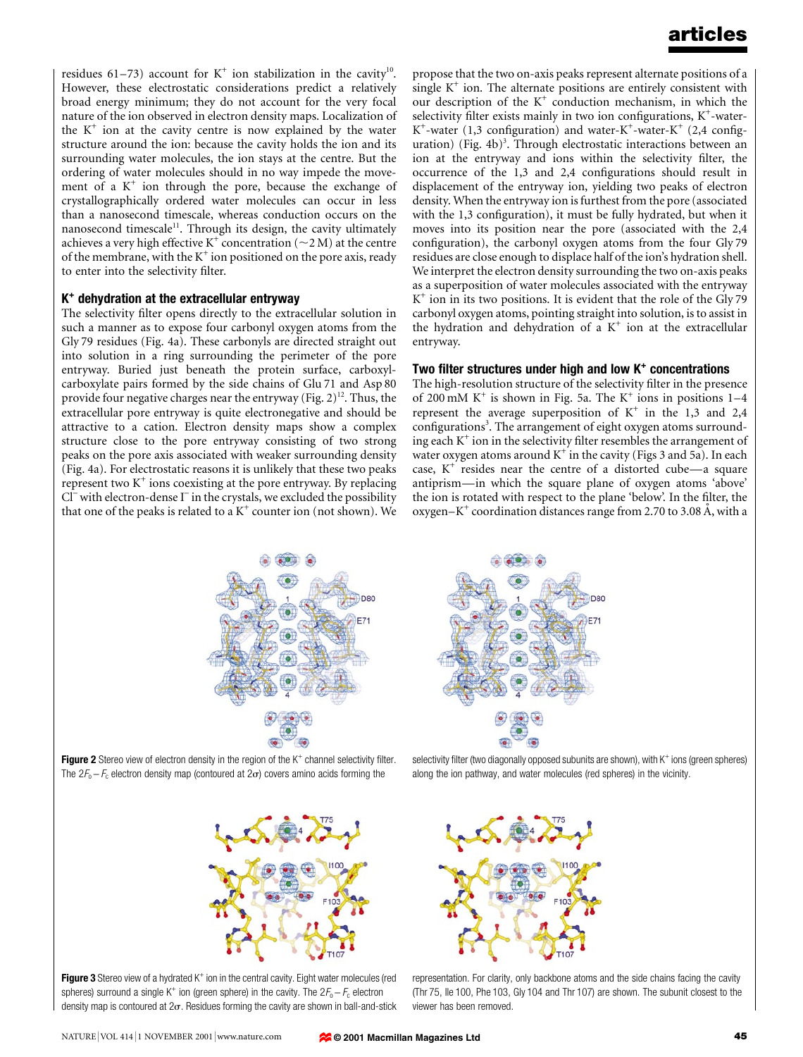residues 61-73) account for  $K^+$  ion stabilization in the cavity<sup>10</sup>. However, these electrostatic considerations predict a relatively broad energy minimum; they do not account for the very focal nature of the ion observed in electron density maps. Localization of the  $K^+$  ion at the cavity centre is now explained by the water structure around the ion: because the cavity holds the ion and its surrounding water molecules, the ion stays at the centre. But the ordering of water molecules should in no way impede the movement of a  $K^+$  ion through the pore, because the exchange of crystallographically ordered water molecules can occur in less than a nanosecond timescale, whereas conduction occurs on the nanosecond timescale<sup>11</sup>. Through its design, the cavity ultimately achieves a very high effective K<sup>+</sup> concentration ( $\sim$ 2 M) at the centre of the membrane, with the  $K^+$  ion positioned on the pore axis, ready to enter into the selectivity filter.

### K<sup>+</sup> dehydration at the extracellular entryway

The selectivity filter opens directly to the extracellular solution in such a manner as to expose four carbonyl oxygen atoms from the Gly 79 residues (Fig. 4a). These carbonyls are directed straight out into solution in a ring surrounding the perimeter of the pore entryway. Buried just beneath the protein surface, carboxylcarboxylate pairs formed by the side chains of Glu 71 and Asp 80 provide four negative charges near the entryway (Fig.  $2^{12}$ . Thus, the extracellular pore entryway is quite electronegative and should be attractive to a cation. Electron density maps show a complex structure close to the pore entryway consisting of two strong peaks on the pore axis associated with weaker surrounding density (Fig. 4a). For electrostatic reasons it is unlikely that these two peaks represent two  $K^+$  ions coexisting at the pore entryway. By replacing  $Cl^-$  with electron-dense  $I^-$  in the crystals, we excluded the possibility that one of the peaks is related to a  $K^+$  counter ion (not shown). We propose that the two on-axis peaks represent alternate positions of a single  $K^+$  ion. The alternate positions are entirely consistent with our description of the  $K^+$  conduction mechanism, in which the selectivity filter exists mainly in two ion configurations,  $K^+$ -water- $K^+$ -water (1,3 configuration) and water- $K^+$ -water- $K^+$  (2,4 configuration) (Fig. 4b)<sup>3</sup>. Through electrostatic interactions between an ion at the entryway and ions within the selectivity filter, the occurrence of the 1,3 and 2,4 configurations should result in displacement of the entryway ion, yielding two peaks of electron density. When the entryway ion is furthest from the pore (associated with the 1,3 configuration), it must be fully hydrated, but when it moves into its position near the pore (associated with the 2,4 configuration), the carbonyl oxygen atoms from the four Gly 79 residues are close enough to displace half of the ion's hydration shell. We interpret the electron density surrounding the two on-axis peaks as a superposition of water molecules associated with the entryway  $K^+$  ion in its two positions. It is evident that the role of the Gly 79 carbonyl oxygen atoms, pointing straight into solution, is to assist in the hydration and dehydration of a  $K^+$  ion at the extracellular entryway.

### Two filter structures under high and low  $K^+$  concentrations

The high-resolution structure of the selectivity filter in the presence of 200 mM K<sup>+</sup> is shown in Fig. 5a. The K<sup>+</sup> ions in positions  $1-4$ represent the average superposition of  $K^+$  in the 1,3 and 2,4 configurations<sup>3</sup>. The arrangement of eight oxygen atoms surrounding each  $K^+$  ion in the selectivity filter resembles the arrangement of water oxygen atoms around  $K^+$  in the cavity (Figs 3 and 5a). In each case,  $K^+$  resides near the centre of a distorted cube—a square antiprism—in which the square plane of oxygen atoms 'above' the ion is rotated with respect to the plane 'below'. In the filter, the oxygen $-K^+$  coordination distances range from 2.70 to 3.08 Å, with a



Figure 2 Stereo view of electron density in the region of the  $K^+$  channel selectivity filter. The  $2F_0 - F_0$  electron density map (contoured at  $2\sigma$ ) covers amino acids forming the



selectivity filter (two diagonally opposed subunits are shown), with  $K^+$  ions (green spheres) along the ion pathway, and water molecules (red spheres) in the vicinity.



**Figure 3** Stereo view of a hydrated  $K^+$  ion in the central cavity. Eight water molecules (red spheres) surround a single K<sup>+</sup> ion (green sphere) in the cavity. The  $2F_0 - F_c$  electron density map is contoured at  $2\sigma$ . Residues forming the cavity are shown in ball-and-stick



representation. For clarity, only backbone atoms and the side chains facing the cavity (Thr 75, Ile 100, Phe 103, Gly 104 and Thr 107) are shown. The subunit closest to the viewer has been removed.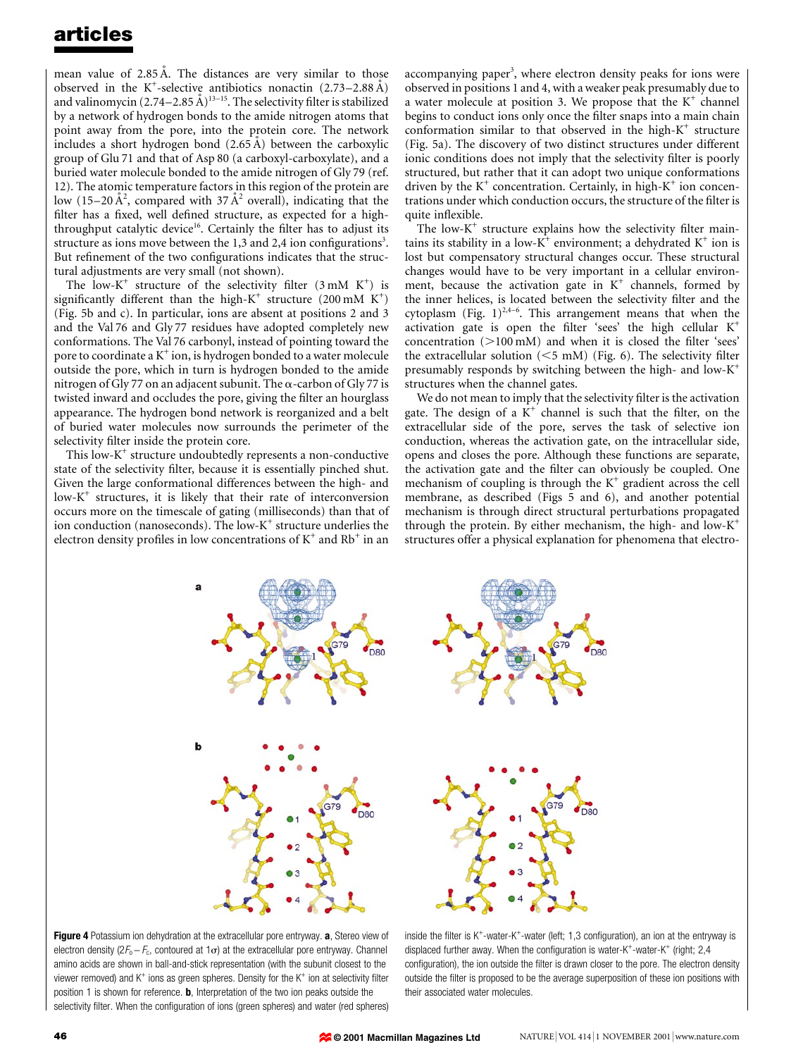mean value of  $2.85 \text{ Å}$ . The distances are very similar to those observed in the K<sup>+</sup>-selective antibiotics nonactin  $(2.73-2.88 \text{ Å})$ and valinomycin  $(2.74-2.85 \text{ \AA})^{13-15}$ . The selectivity filter is stabilized by a network of hydrogen bonds to the amide nitrogen atoms that point away from the pore, into the protein core. The network includes a short hydrogen bond  $(2.65 \text{ Å})$  between the carboxylic group of Glu 71 and that of Asp 80 (a carboxyl-carboxylate), and a buried water molecule bonded to the amide nitrogen of Gly 79 (ref. 12). The atomic temperature factors in this region of the protein are low (15–20 Å<sup>2</sup>, compared with 37 Å<sup>2</sup> overall), indicating that the filter has a fixed, well defined structure, as expected for a highthroughput catalytic device<sup>16</sup>. Certainly the filter has to adjust its structure as ions move between the  $1,3$  and  $2,4$  ion configurations<sup>3</sup>. But refinement of the two configurations indicates that the structural adjustments are very small (not shown).

The low-K<sup>+</sup> structure of the selectivity filter  $(3 \text{ mM } K^+)$  is significantly different than the high- $K^+$  structure (200 mM  $K^+$ ) (Fig. 5b and c). In particular, ions are absent at positions 2 and 3 and the Val 76 and Gly 77 residues have adopted completely new conformations. The Val 76 carbonyl, instead of pointing toward the pore to coordinate a  $K^+$  ion, is hydrogen bonded to a water molecule outside the pore, which in turn is hydrogen bonded to the amide nitrogen of Gly 77 on an adjacent subunit. The  $\alpha$ -carbon of Gly 77 is twisted inward and occludes the pore, giving the filter an hourglass appearance. The hydrogen bond network is reorganized and a belt of buried water molecules now surrounds the perimeter of the selectivity filter inside the protein core.

This low- $K^+$  structure undoubtedly represents a non-conductive state of the selectivity filter, because it is essentially pinched shut. Given the large conformational differences between the high- and  $low-K^+$  structures, it is likely that their rate of interconversion occurs more on the timescale of gating (milliseconds) than that of ion conduction (nanoseconds). The low- $K^+$  structure underlies the electron density profiles in low concentrations of  $K^+$  and  $Rb^+$  in an

accompanying paper<sup>3</sup>, where electron density peaks for ions were observed in positions 1 and 4, with a weaker peak presumably due to a water molecule at position 3. We propose that the  $K^+$  channel begins to conduct ions only once the filter snaps into a main chain conformation similar to that observed in the high- $K^+$  structure (Fig. 5a). The discovery of two distinct structures under different ionic conditions does not imply that the selectivity filter is poorly structured, but rather that it can adopt two unique conformations driven by the  $K^+$  concentration. Certainly, in high- $K^+$  ion concentrations under which conduction occurs, the structure of the filter is quite inflexible.

The low- $K^+$  structure explains how the selectivity filter maintains its stability in a low- $K^+$  environment; a dehydrated  $K^+$  ion is lost but compensatory structural changes occur. These structural changes would have to be very important in a cellular environment, because the activation gate in  $K^+$  channels, formed by the inner helices, is located between the selectivity filter and the cytoplasm (Fig.  $1)^{2,4-6}$ . This arrangement means that when the activation gate is open the filter 'sees' the high cellular  $K^+$ concentration  $(>100 \text{ mM})$  and when it is closed the filter 'sees' the extracellular solution  $(<5$  mM) (Fig. 6). The selectivity filter presumably responds by switching between the high- and low- $K^+$ structures when the channel gates.

We do not mean to imply that the selectivity filter is the activation gate. The design of a  $K^+$  channel is such that the filter, on the extracellular side of the pore, serves the task of selective ion conduction, whereas the activation gate, on the intracellular side, opens and closes the pore. Although these functions are separate, the activation gate and the filter can obviously be coupled. One mechanism of coupling is through the  $K^+$  gradient across the cell membrane, as described (Figs 5 and 6), and another potential mechanism is through direct structural perturbations propagated through the protein. By either mechanism, the high- and low- $K^+$ structures offer a physical explanation for phenomena that electro-



Figure 4 Potassium ion dehydration at the extracellular pore entryway. a, Stereo view of electron density ( $2F_0 - F_c$ , contoured at  $1\sigma$ ) at the extracellular pore entryway. Channel amino acids are shown in ball-and-stick representation (with the subunit closest to the viewer removed) and  $K^+$  ions as green spheres. Density for the  $K^+$  ion at selectivity filter position 1 is shown for reference. **b**, Interpretation of the two ion peaks outside the selectivity filter. When the configuration of ions (green spheres) and water (red spheres)

inside the filter is  $K^+$ -water- $K^+$ -water (left; 1,3 configuration), an ion at the entryway is displaced further away. When the configuration is water-K<sup>+</sup>-water-K<sup>+</sup> (right; 2,4 configuration), the ion outside the filter is drawn closer to the pore. The electron density outside the filter is proposed to be the average superposition of these ion positions with their associated water molecules.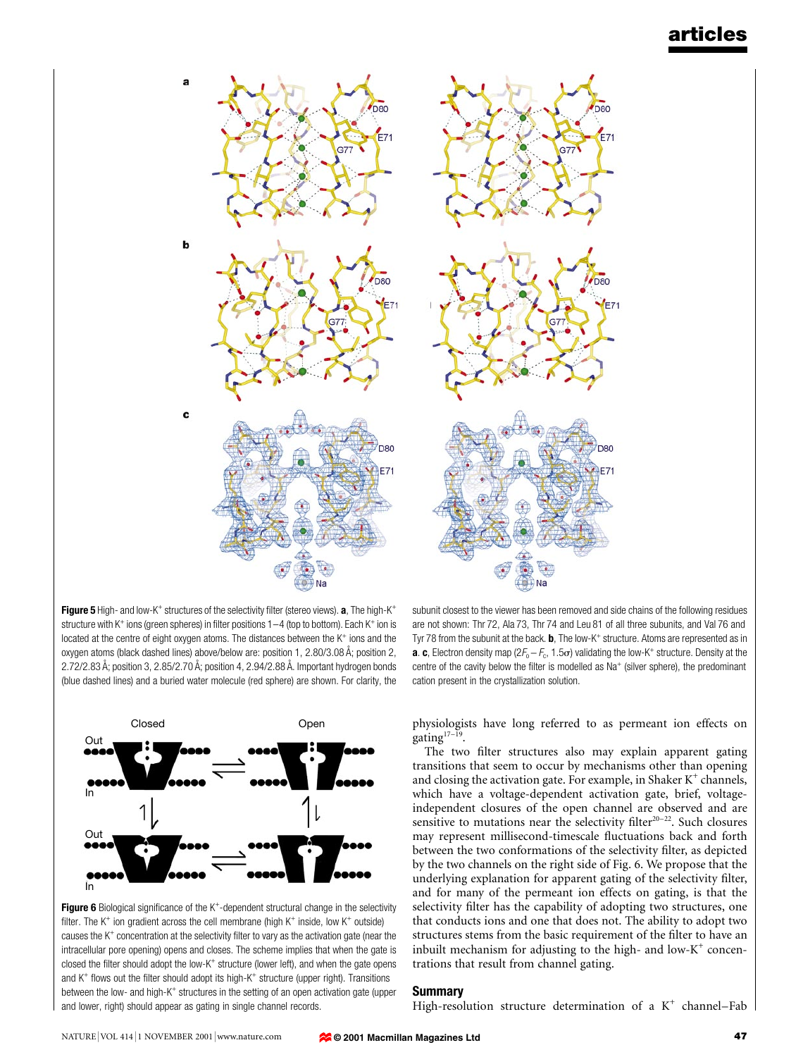

Figure 5 High- and low-K<sup>+</sup> structures of the selectivity filter (stereo views). a, The high-K<sup>+</sup> structure with K<sup>+</sup> ions (green spheres) in filter positions  $1-4$  (top to bottom). Each K<sup>+</sup> ion is located at the centre of eight oxygen atoms. The distances between the  $K^+$  ions and the oxygen atoms (black dashed lines) above/below are: position 1, 2.80/3.08 Å; position 2,  $2.72/2.83$  Å; position 3,  $2.85/2.70$  Å; position 4,  $2.94/2.88$  Å. Important hydrogen bonds (blue dashed lines) and a buried water molecule (red sphere) are shown. For clarity, the



Figure 6 Biological significance of the K<sup>+</sup>-dependent structural change in the selectivity filter. The  $K^+$  ion gradient across the cell membrane (high  $K^+$  inside, low  $K^+$  outside) causes the  $K^+$  concentration at the selectivity filter to vary as the activation gate (near the intracellular pore opening) opens and closes. The scheme implies that when the gate is closed the filter should adopt the low- $K^+$  structure (lower left), and when the gate opens and  $K^+$  flows out the filter should adopt its high- $K^+$  structure (upper right). Transitions between the low- and high-K<sup>+</sup> structures in the setting of an open activation gate (upper and lower, right) should appear as gating in single channel records.

subunit closest to the viewer has been removed and side chains of the following residues are not shown: Thr 72, Ala 73, Thr 74 and Leu 81 of all three subunits, and Val 76 and Tyr 78 from the subunit at the back. **, The low-K<sup>+</sup> structure. Atoms are represented as in a. c**, Electron density map ( $2F_o - F_c$ , 1.5 $\sigma$ ) validating the low-K<sup>+</sup> structure. Density at the centre of the cavity below the filter is modelled as  $Na<sup>+</sup>$  (silver sphere), the predominant cation present in the crystallization solution.

physiologists have long referred to as permeant ion effects on  $gating<sup>17–19</sup>$ .

The two filter structures also may explain apparent gating transitions that seem to occur by mechanisms other than opening and closing the activation gate. For example, in Shaker  $K^+$  channels, which have a voltage-dependent activation gate, brief, voltageindependent closures of the open channel are observed and are sensitive to mutations near the selectivity filter<sup>20-22</sup>. Such closures may represent millisecond-timescale fluctuations back and forth between the two conformations of the selectivity filter, as depicted by the two channels on the right side of Fig. 6. We propose that the underlying explanation for apparent gating of the selectivity filter, and for many of the permeant ion effects on gating, is that the selectivity filter has the capability of adopting two structures, one that conducts ions and one that does not. The ability to adopt two structures stems from the basic requirement of the filter to have an inbuilt mechanism for adjusting to the high- and low- $K^+$  concentrations that result from channel gating.

### Summary

High-resolution structure determination of a  $K^+$  channel-Fab